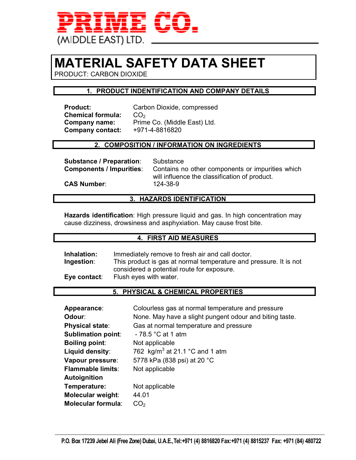

# **MATERIAL SAFETY DATA SHEET**

PRODUCT: CARBON DIOXIDE

# **1. PRODUCT INDENTIFICATION AND COMPANY DETAILS**

**Chemical formula:** CO<sub>2</sub><br>**Company name:** Prim **Company contact:** +971-4-8816820

**Product:** Carbon Dioxide, compressed Prime Co. (Middle East) Ltd.

# **2. COMPOSITION / INFORMATION ON INGREDIENTS**

**Substance / Preparation:** Substance

**Components / Impurities**: Contains no other components or impurities which will influence the classification of product.

**CAS Number**: 124-38-9

# **3. HAZARDS IDENTIFICATION**

**Hazards identification**: High pressure liquid and gas. In high concentration may cause dizziness, drowsiness and asphyxiation. May cause frost bite.

#### **4. FIRST AID MEASURES**

**Inhalation:** Immediately remove to fresh air and call doctor. **Ingestion**: This product is gas at normal temperature and pressure. It is not considered a potential route for exposure. **Eye contact**: Flush eyes with water.

# **5. PHYSICAL & CHEMICAL PROPERTIES**

| Appearance:               | Colourless gas at normal temperature and pressure       |
|---------------------------|---------------------------------------------------------|
| Odour:                    | None. May have a slight pungent odour and biting taste. |
| <b>Physical state:</b>    | Gas at normal temperature and pressure                  |
| <b>Sublimation point:</b> | - 78.5 °C at 1 atm                                      |
| <b>Boiling point:</b>     | Not applicable                                          |
| Liquid density:           | 762 $kg/m3$ at 21.1 °C and 1 atm                        |
| Vapour pressure:          | 5778 kPa (838 psi) at 20 °C                             |
| <b>Flammable limits:</b>  | Not applicable                                          |
| Autoignition              |                                                         |
| Temperature:              | Not applicable                                          |
| Molecular weight:         | 44.01                                                   |
| <b>Molecular formula:</b> | CO <sub>2</sub>                                         |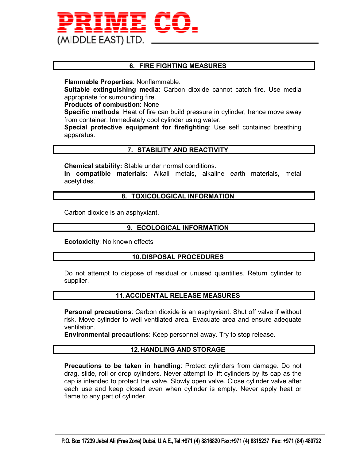

# **6. FIRE FIGHTING MEASURES**

**Flammable Properties**: Nonflammable.

**Suitable extinguishing media**: Carbon dioxide cannot catch fire. Use media appropriate for surrounding fire.

**Products of combustion**: None

**Specific methods**: Heat of fire can build pressure in cylinder, hence move away from container. Immediately cool cylinder using water.

**Special protective equipment for firefighting**: Use self contained breathing apparatus.

# **7. STABILITY AND REACTIVITY**

**Chemical stability:** Stable under normal conditions.

**In compatible materials:** Alkali metals, alkaline earth materials, metal acetylides.

#### **8. TOXICOLOGICAL INFORMATION**

Carbon dioxide is an asphyxiant.

#### **9. ECOLOGICAL INFORMATION**

**Ecotoxicity**: No known effects

#### **10. DISPOSAL PROCEDURES**

Do not attempt to dispose of residual or unused quantities. Return cylinder to supplier.

# **11. ACCIDENTAL RELEASE MEASURES**

**Personal precautions**: Carbon dioxide is an asphyxiant. Shut off valve if without risk. Move cylinder to well ventilated area. Evacuate area and ensure adequate ventilation.

**Environmental precautions**: Keep personnel away. Try to stop release.

#### **12. HANDLING AND STORAGE**

**Precautions to be taken in handling**: Protect cylinders from damage. Do not drag, slide, roll or drop cylinders. Never attempt to lift cylinders by its cap as the cap is intended to protect the valve. Slowly open valve. Close cylinder valve after each use and keep closed even when cylinder is empty. Never apply heat or flame to any part of cylinder.